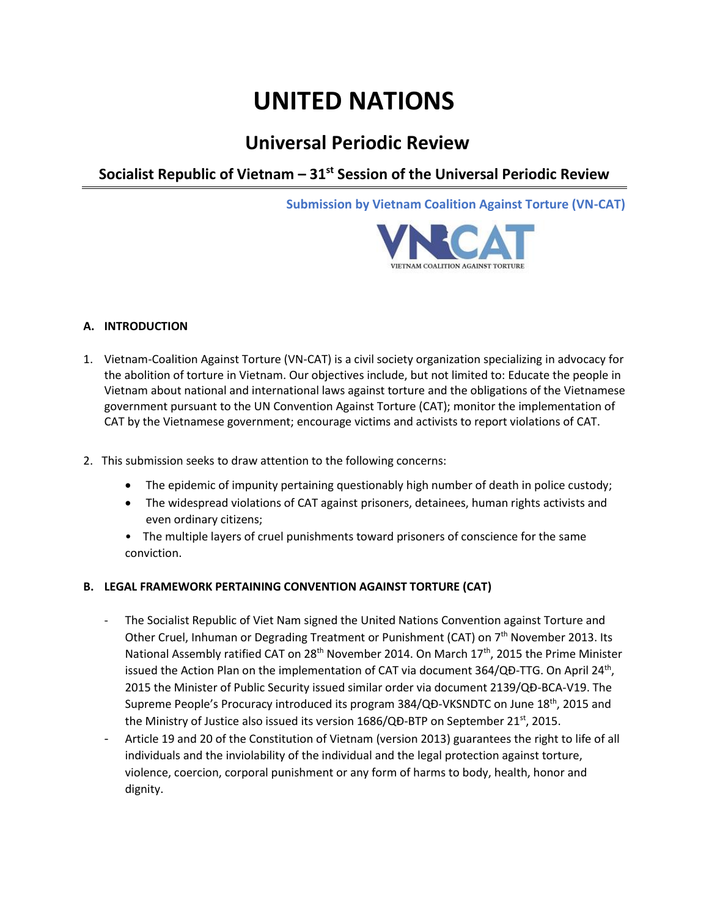# **UNITED NATIONS**

# **Universal Periodic Review**

**Socialist Republic of Vietnam – 31st Session of the Universal Periodic Review**

**Submission by Vietnam Coalition Against Torture (VN-CAT)**



## **A. INTRODUCTION**

- 1. Vietnam-Coalition Against Torture (VN-CAT) is a civil society organization specializing in advocacy for the abolition of torture in Vietnam. Our objectives include, but not limited to: Educate the people in Vietnam about national and international laws against torture and the obligations of the Vietnamese government pursuant to the UN Convention Against Torture (CAT); monitor the implementation of CAT by the Vietnamese government; encourage victims and activists to report violations of CAT.
- 2. This submission seeks to draw attention to the following concerns:
	- The epidemic of impunity pertaining questionably high number of death in police custody;
	- The widespread violations of CAT against prisoners, detainees, human rights activists and even ordinary citizens;
	- The multiple layers of cruel punishments toward prisoners of conscience for the same conviction.

# **B. LEGAL FRAMEWORK PERTAINING CONVENTION AGAINST TORTURE (CAT)**

- The Socialist Republic of Viet Nam signed the United Nations Convention against Torture and Other Cruel, Inhuman or Degrading Treatment or Punishment (CAT) on 7<sup>th</sup> November 2013. Its National Assembly ratified CAT on 28<sup>th</sup> November 2014. On March 17<sup>th</sup>, 2015 the Prime Minister issued the Action Plan on the implementation of CAT via document 364/QĐ-TTG. On April 24<sup>th</sup>, 2015 the Minister of Public Security issued similar order via document 2139/QĐ-BCA-V19. The Supreme People's Procuracy introduced its program 384/QĐ-VKSNDTC on June 18<sup>th</sup>, 2015 and the Ministry of Justice also issued its version 1686/QĐ-BTP on September 21<sup>st</sup>, 2015.
- Article 19 and 20 of the Constitution of Vietnam (version 2013) guarantees the right to life of all individuals and the inviolability of the individual and the legal protection against torture, violence, coercion, corporal punishment or any form of harms to body, health, honor and dignity.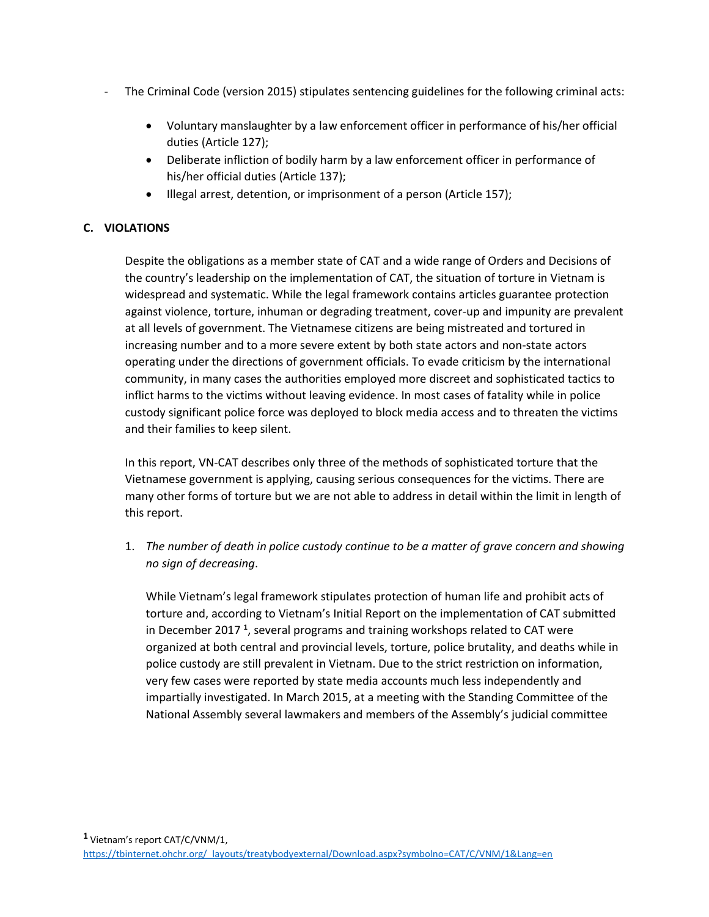- The Criminal Code (version 2015) stipulates sentencing guidelines for the following criminal acts:
	- Voluntary manslaughter by a law enforcement officer in performance of his/her official duties (Article 127);
	- Deliberate infliction of bodily harm by a law enforcement officer in performance of his/her official duties (Article 137);
	- Illegal arrest, detention, or imprisonment of a person (Article 157);

# **C. VIOLATIONS**

Despite the obligations as a member state of CAT and a wide range of Orders and Decisions of the country's leadership on the implementation of CAT, the situation of torture in Vietnam is widespread and systematic. While the legal framework contains articles guarantee protection against violence, torture, inhuman or degrading treatment, cover-up and impunity are prevalent at all levels of government. The Vietnamese citizens are being mistreated and tortured in increasing number and to a more severe extent by both state actors and non-state actors operating under the directions of government officials. To evade criticism by the international community, in many cases the authorities employed more discreet and sophisticated tactics to inflict harms to the victims without leaving evidence. In most cases of fatality while in police custody significant police force was deployed to block media access and to threaten the victims and their families to keep silent.

In this report, VN-CAT describes only three of the methods of sophisticated torture that the Vietnamese government is applying, causing serious consequences for the victims. There are many other forms of torture but we are not able to address in detail within the limit in length of this report.

1. *The number of death in police custody continue to be a matter of grave concern and showing no sign of decreasing*.

While Vietnam's legal framework stipulates protection of human life and prohibit acts of torture and, according to Vietnam's Initial Report on the implementation of CAT submitted in December 2017<sup>1</sup>, several programs and training workshops related to CAT were organized at both central and provincial levels, torture, police brutality, and deaths while in police custody are still prevalent in Vietnam. Due to the strict restriction on information, very few cases were reported by state media accounts much less independently and impartially investigated. In March 2015, at a meeting with the Standing Committee of the National Assembly several lawmakers and members of the Assembly's judicial committee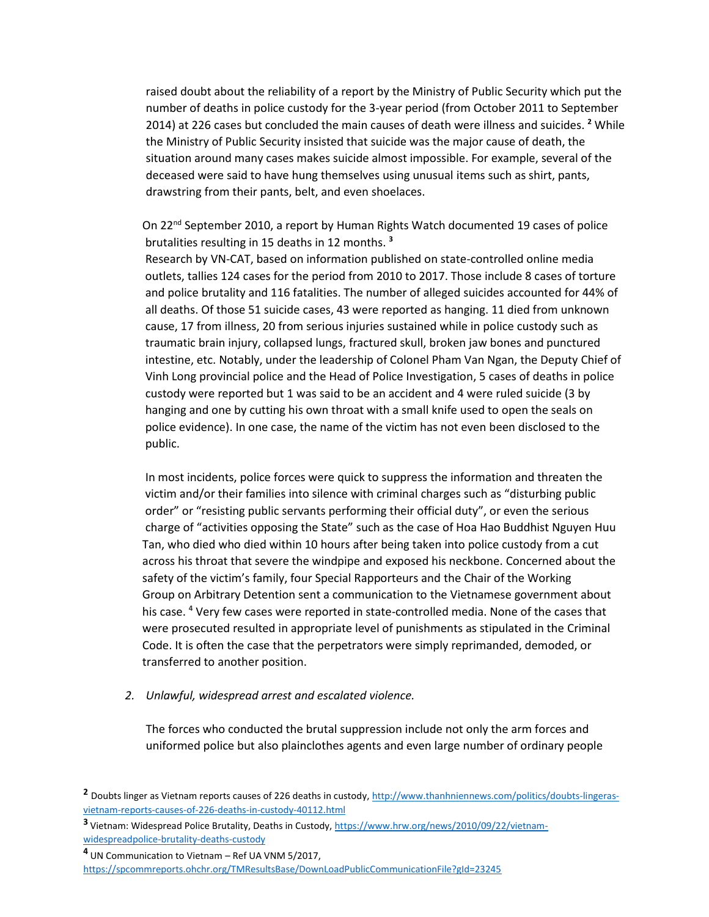raised doubt about the reliability of a report by the Ministry of Public Security which put the number of deaths in police custody for the 3-year period (from October 2011 to September 2014) at 226 cases but concluded the main causes of death were illness and suicides. **<sup>2</sup>** While the Ministry of Public Security insisted that suicide was the major cause of death, the situation around many cases makes suicide almost impossible. For example, several of the deceased were said to have hung themselves using unusual items such as shirt, pants, drawstring from their pants, belt, and even shoelaces.

On 22nd September 2010, a report by Human Rights Watch documented 19 cases of police brutalities resulting in 15 deaths in 12 months. **3** 

 Research by VN-CAT, based on information published on state-controlled online media outlets, tallies 124 cases for the period from 2010 to 2017. Those include 8 cases of torture and police brutality and 116 fatalities. The number of alleged suicides accounted for 44% of all deaths. Of those 51 suicide cases, 43 were reported as hanging. 11 died from unknown cause, 17 from illness, 20 from serious injuries sustained while in police custody such as traumatic brain injury, collapsed lungs, fractured skull, broken jaw bones and punctured intestine, etc. Notably, under the leadership of Colonel Pham Van Ngan, the Deputy Chief of Vinh Long provincial police and the Head of Police Investigation, 5 cases of deaths in police custody were reported but 1 was said to be an accident and 4 were ruled suicide (3 by hanging and one by cutting his own throat with a small knife used to open the seals on police evidence). In one case, the name of the victim has not even been disclosed to the public.

 In most incidents, police forces were quick to suppress the information and threaten the victim and/or their families into silence with criminal charges such as "disturbing public order" or "resisting public servants performing their official duty", or even the serious charge of "activities opposing the State" such as the case of Hoa Hao Buddhist Nguyen Huu Tan, who died who died within 10 hours after being taken into police custody from a cut across his throat that severe the windpipe and exposed his neckbone. Concerned about the safety of the victim's family, four Special Rapporteurs and the Chair of the Working Group on Arbitrary Detention sent a communication to the Vietnamese government about his case. **<sup>4</sup>** Very few cases were reported in state-controlled media. None of the cases that were prosecuted resulted in appropriate level of punishments as stipulated in the Criminal Code. It is often the case that the perpetrators were simply reprimanded, demoded, or transferred to another position.

#### *2. Unlawful, widespread arrest and escalated violence.*

The forces who conducted the brutal suppression include not only the arm forces and uniformed police but also plainclothes agents and even large number of ordinary people

**<sup>2</sup>** Doubts linger as Vietnam reports causes of 226 deaths in custody[, http://www.thanhniennews.com/politics/doubts-lingeras](http://www.thanhniennews.com/politics/doubts-lingeras-vietnam-reports-causes-of-226-deaths-in-custody-40112.html)[vietnam-reports-causes-of-226-deaths-in-custody-40112.html](http://www.thanhniennews.com/politics/doubts-lingeras-vietnam-reports-causes-of-226-deaths-in-custody-40112.html)

**<sup>3</sup>**Vietnam: Widespread Police Brutality, Deaths in Custody, [https://www.hrw.org/news/2010/09/22/vietnam](https://www.hrw.org/news/2010/09/22/vietnam-widespreadpolice-brutality-deaths-custody)[widespreadpolice-brutality-deaths-custody](https://www.hrw.org/news/2010/09/22/vietnam-widespreadpolice-brutality-deaths-custody)

**<sup>4</sup>**UN Communication to Vietnam – Ref UA VNM 5/2017, <https://spcommreports.ohchr.org/TMResultsBase/DownLoadPublicCommunicationFile?gId=23245>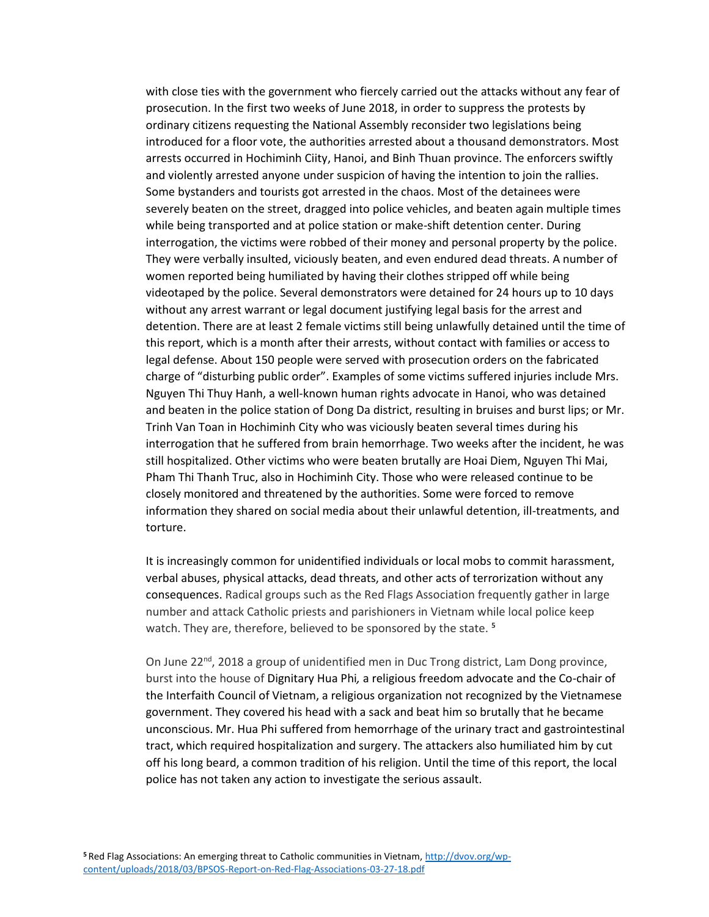with close ties with the government who fiercely carried out the attacks without any fear of prosecution. In the first two weeks of June 2018, in order to suppress the protests by ordinary citizens requesting the National Assembly reconsider two legislations being introduced for a floor vote, the authorities arrested about a thousand demonstrators. Most arrests occurred in Hochiminh Ciity, Hanoi, and Binh Thuan province. The enforcers swiftly and violently arrested anyone under suspicion of having the intention to join the rallies. Some bystanders and tourists got arrested in the chaos. Most of the detainees were severely beaten on the street, dragged into police vehicles, and beaten again multiple times while being transported and at police station or make-shift detention center. During interrogation, the victims were robbed of their money and personal property by the police. They were verbally insulted, viciously beaten, and even endured dead threats. A number of women reported being humiliated by having their clothes stripped off while being videotaped by the police. Several demonstrators were detained for 24 hours up to 10 days without any arrest warrant or legal document justifying legal basis for the arrest and detention. There are at least 2 female victims still being unlawfully detained until the time of this report, which is a month after their arrests, without contact with families or access to legal defense. About 150 people were served with prosecution orders on the fabricated charge of "disturbing public order". Examples of some victims suffered injuries include Mrs. Nguyen Thi Thuy Hanh, a well-known human rights advocate in Hanoi, who was detained and beaten in the police station of Dong Da district, resulting in bruises and burst lips; or Mr. Trinh Van Toan in Hochiminh City who was viciously beaten several times during his interrogation that he suffered from brain hemorrhage. Two weeks after the incident, he was still hospitalized. Other victims who were beaten brutally are Hoai Diem, Nguyen Thi Mai, Pham Thi Thanh Truc, also in Hochiminh City. Those who were released continue to be closely monitored and threatened by the authorities. Some were forced to remove information they shared on social media about their unlawful detention, ill-treatments, and torture.

It is increasingly common for unidentified individuals or local mobs to commit harassment, verbal abuses, physical attacks, dead threats, and other acts of terrorization without any consequences. Radical groups such as the Red Flags Association frequently gather in large number and attack Catholic priests and parishioners in Vietnam while local police keep watch. They are, therefore, believed to be sponsored by the state. **<sup>5</sup>**

On June 22<sup>nd</sup>, 2018 a group of unidentified men in Duc Trong district, Lam Dong province, burst into the house of Dignitary Hua Phi*,* a religious freedom advocate and the Co-chair of the Interfaith Council of Vietnam, a religious organization not recognized by the Vietnamese government. They covered his head with a sack and beat him so brutally that he became unconscious. Mr. Hua Phi suffered from hemorrhage of the urinary tract and gastrointestinal tract, which required hospitalization and surgery. The attackers also humiliated him by cut off his long beard, a common tradition of his religion. Until the time of this report, the local police has not taken any action to investigate the serious assault.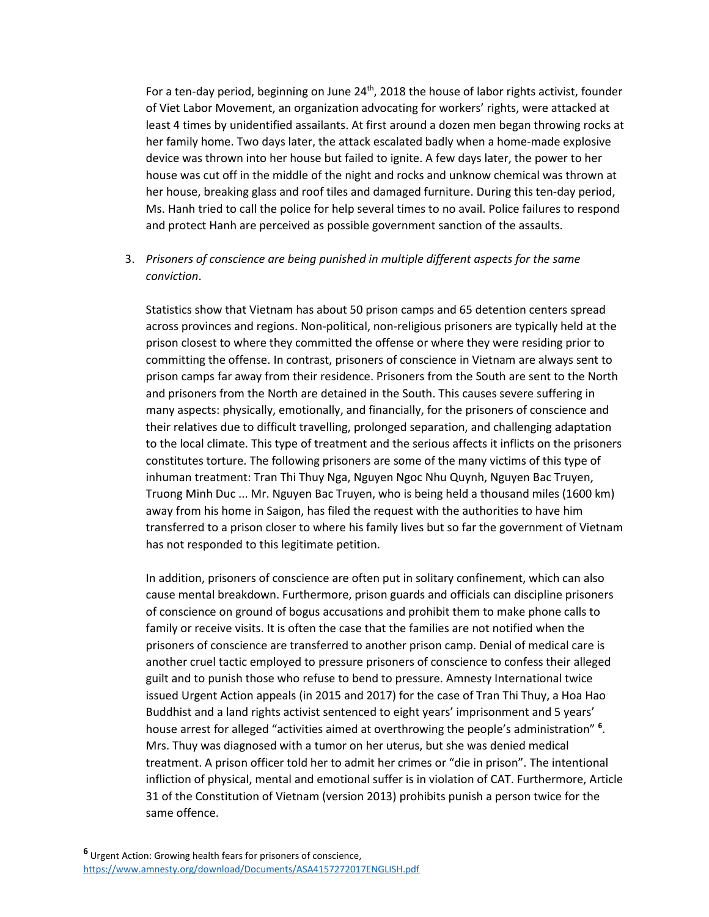For a ten-day period, beginning on June 24<sup>th</sup>, 2018 the house of labor rights activist, founder of Viet Labor Movement, an organization advocating for workers' rights, were attacked at least 4 times by unidentified assailants. At first around a dozen men began throwing rocks at her family home. Two days later, the attack escalated badly when a home-made explosive device was thrown into her house but failed to ignite. A few days later, the power to her house was cut off in the middle of the night and rocks and unknow chemical was thrown at her house, breaking glass and roof tiles and damaged furniture. During this ten-day period, Ms. Hanh tried to call the police for help several times to no avail. Police failures to respond and protect Hanh are perceived as possible government sanction of the assaults.

### 3. *Prisoners of conscience are being punished in multiple different aspects for the same conviction*.

Statistics show that Vietnam has about 50 prison camps and 65 detention centers spread across provinces and regions. Non-political, non-religious prisoners are typically held at the prison closest to where they committed the offense or where they were residing prior to committing the offense. In contrast, prisoners of conscience in Vietnam are always sent to prison camps far away from their residence. Prisoners from the South are sent to the North and prisoners from the North are detained in the South. This causes severe suffering in many aspects: physically, emotionally, and financially, for the prisoners of conscience and their relatives due to difficult travelling, prolonged separation, and challenging adaptation to the local climate. This type of treatment and the serious affects it inflicts on the prisoners constitutes torture. The following prisoners are some of the many victims of this type of inhuman treatment: Tran Thi Thuy Nga, Nguyen Ngoc Nhu Quynh, Nguyen Bac Truyen, Truong Minh Duc ... Mr. Nguyen Bac Truyen, who is being held a thousand miles (1600 km) away from his home in Saigon, has filed the request with the authorities to have him transferred to a prison closer to where his family lives but so far the government of Vietnam has not responded to this legitimate petition.

In addition, prisoners of conscience are often put in solitary confinement, which can also cause mental breakdown. Furthermore, prison guards and officials can discipline prisoners of conscience on ground of bogus accusations and prohibit them to make phone calls to family or receive visits. It is often the case that the families are not notified when the prisoners of conscience are transferred to another prison camp. Denial of medical care is another cruel tactic employed to pressure prisoners of conscience to confess their alleged guilt and to punish those who refuse to bend to pressure. Amnesty International twice issued Urgent Action appeals (in 2015 and 2017) for the case of Tran Thi Thuy, a Hoa Hao Buddhist and a land rights activist sentenced to eight years' imprisonment and 5 years' house arrest for alleged "activities aimed at overthrowing the people's administration" **<sup>6</sup>** . Mrs. Thuy was diagnosed with a tumor on her uterus, but she was denied medical treatment. A prison officer told her to admit her crimes or "die in prison". The intentional infliction of physical, mental and emotional suffer is in violation of CAT. Furthermore, Article 31 of the Constitution of Vietnam (version 2013) prohibits punish a person twice for the same offence.